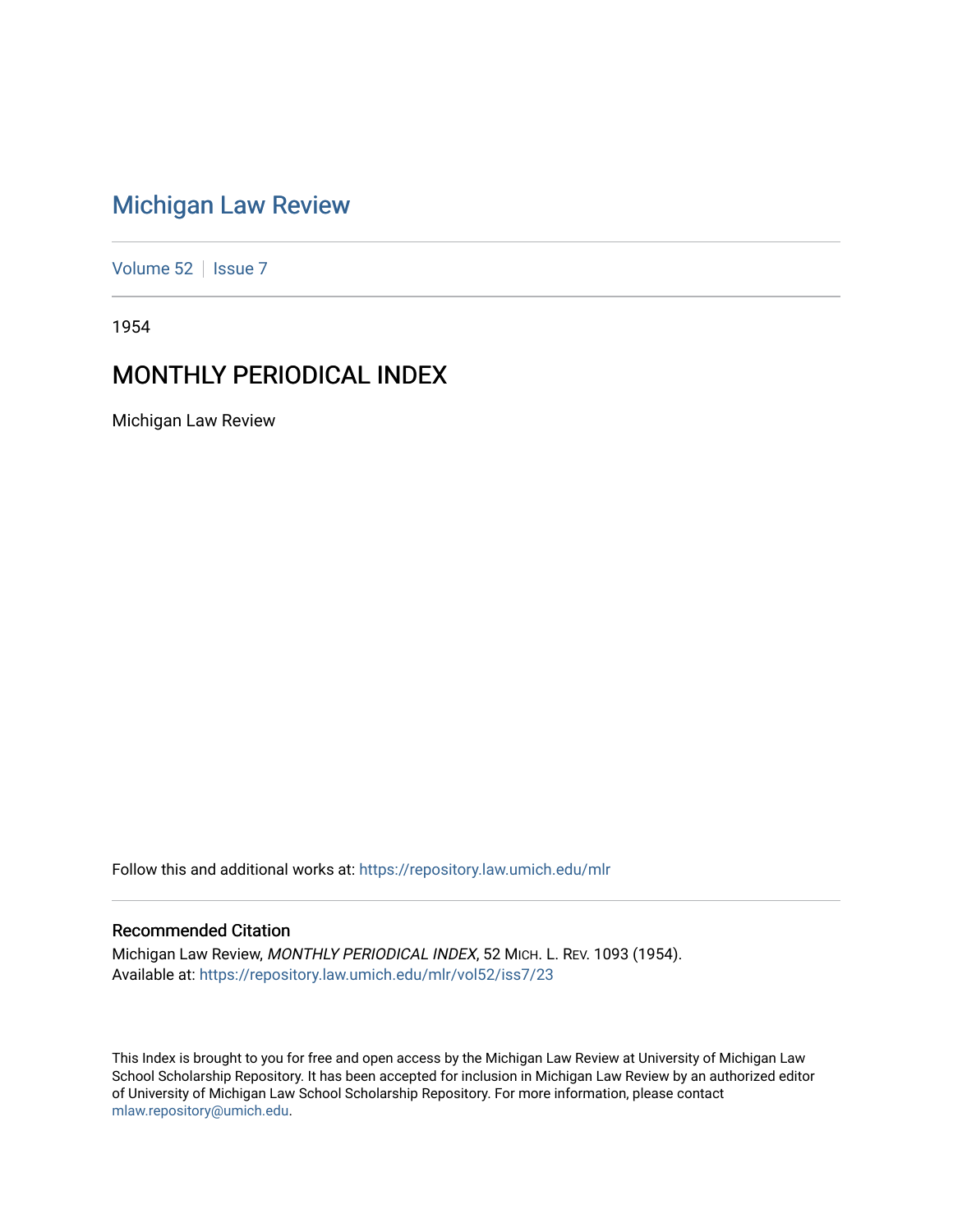# [Michigan Law Review](https://repository.law.umich.edu/mlr)

[Volume 52](https://repository.law.umich.edu/mlr/vol52) | [Issue 7](https://repository.law.umich.edu/mlr/vol52/iss7)

1954

# MONTHLY PERIODICAL INDEX

Michigan Law Review

Follow this and additional works at: [https://repository.law.umich.edu/mlr](https://repository.law.umich.edu/mlr?utm_source=repository.law.umich.edu%2Fmlr%2Fvol52%2Fiss7%2F23&utm_medium=PDF&utm_campaign=PDFCoverPages) 

# Recommended Citation

Michigan Law Review, MONTHLY PERIODICAL INDEX, 52 MICH. L. REV. 1093 (1954). Available at: [https://repository.law.umich.edu/mlr/vol52/iss7/23](https://repository.law.umich.edu/mlr/vol52/iss7/23?utm_source=repository.law.umich.edu%2Fmlr%2Fvol52%2Fiss7%2F23&utm_medium=PDF&utm_campaign=PDFCoverPages) 

This Index is brought to you for free and open access by the Michigan Law Review at University of Michigan Law School Scholarship Repository. It has been accepted for inclusion in Michigan Law Review by an authorized editor of University of Michigan Law School Scholarship Repository. For more information, please contact [mlaw.repository@umich.edu.](mailto:mlaw.repository@umich.edu)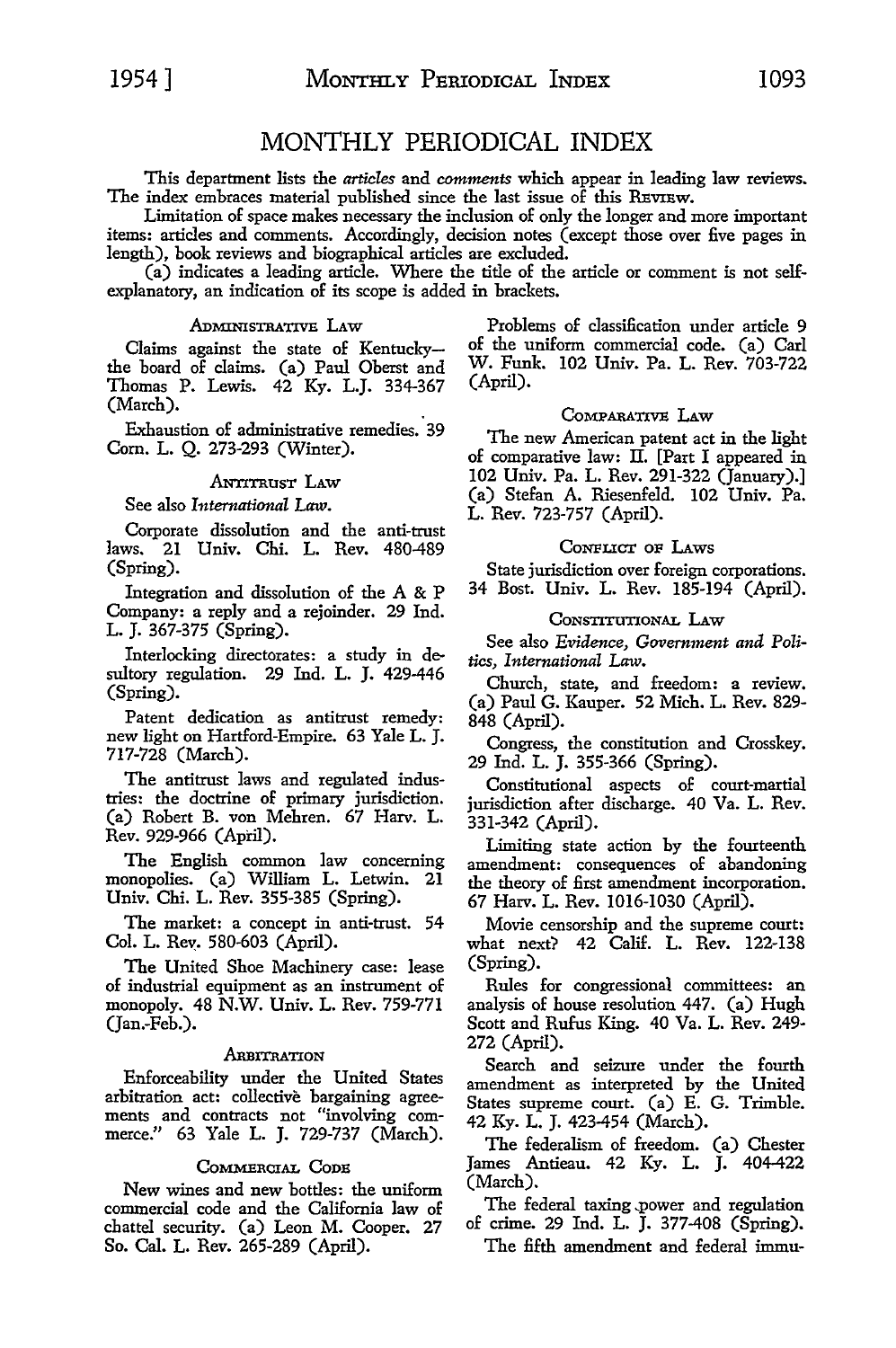# MONTHLY PERIODICAL INDEX

This department lists the *articles* and *comments* which appear in leading law reviews. The index embraces material published since the last issue of this REVIEW.

Limitation of space makes necessary the inclusion of only the longer and more important items: articles and comments. Accordingly, decision notes (except those over five pages in length), book reviews and biographical articles are excluded.

(a) indicates a leading article. Where the title of the article or comment is not selfexplanatory, an indication of its scope is added in brackets.

# ADMINISTRATIVE LAW

Claims against the state of Kentuckythe board of claims. (a) Panl Oberst and Thomas P. Lewis. 42 Ky. L.J. 334-367 (March).

Exhaustion of administrative remedies. 39 Com. L. Q. 273-293 (Winter).

# ANTITRUST LAW

See also *International Law.* 

Corporate dissolution and the anti-trust laws. 21 Univ. Chi. L. Rev. 480-489 (Spring).

Integration and dissolution of the A & P Company: a reply and a rejoinder. 29 Ind. L. J. 367-375 (Spring).

Interlocking directorates: a study in desultory regulation. 29 Ind. L. J. 429-446 (Spring).

Patent dedication as antitrust remedy: new light on Hartford-Empire. 63 Yale L. J. 717-728 (March).

The antitrust laws and regulated industries: the doctrine of primary jurisdiction. (a) Robert B. von Mehren. 67 Harv. L. Rev. 929-966 (April).

The English common law concerning monopolies. (a) William L. Letwin. 21 Univ. Chi. L. Rev. 355-385 (Spring).

The market: a concept in anti-trust. 54 Col. L. Rev:. 580-603 (April).

The United Shoe Machinery case: lease of industrial equipment as an instrument of monopoly. 48 N.W. Univ. L. Rev. 759-771 (Jan.-Feb.).

#### ARBITRATION

Enforceability under the United States arbitration act: collective bargaining agreements and contracts not "involving commerce." 63 Yale L. J. 729-737 (March).

# COMMERCIAL CODE

New wines and new bottles: the uniform commercial code and the California law of chattel security. (a) Leon M. Cooper. 27 So. Cal. L. Rev. 265-289 (April).

Problems of classification under article 9 of the uniform commercial code. (a) Carl W. Funk. 102 Univ. Pa. L. Rev. 703-722 (April).

# CoMPARATIVE LAw

The new American patent act in the light of comparative law: II. [Part I appeared in 102 Univ. Pa. L. Rev. 291-322 (January).] (a) Stefan A. Riesenfeld. 102 Univ. Pa. L. Rev. 723-757 (April).

#### CoNFLICT oF LAws

State jurisdiction over foreign corporations. 34 Bost. Univ. L. Rev. 185-194 (April).

#### CoNSTITUTIONAL LAw

See also *Evidence, Government and Politics, International* Law.

Church, state, and freedom: a review. (a) Paul G. Kauper. 52 Mich. L. Rev. 829- 848 (April).

Congress, the constitution and Crosskey. 29 Ind. L. J. 355-366 (Spring).

Constitutional aspects of court-martial jurisdiction after discharge. 40 Va. L. Rev. 331-342 (April).

Limiting state action by the fourteenth amendment: consequences of abandoning the theory of first amendment incorporation. 67 Harv. L. Rev. 1016-1030 (April).

Movie censorship and the supreme court: what next? 42 Calif. L. Rev. 122-138 (Spring).

Rules for congressional committees: an analysis of house resolution 447. (a) Hugh Scott and Rufus King. 40 Va. L. Rev. 249- 272 (April).

Search and seizure under the fourth amendment as interpreted by the United States supreme court. (a) E. G. Trimble. 42 Ky. L. J. 423-454 (March).

The federalism of freedom. (a) Chester James Antieau. 42 Ky. L. J. 404-422 (March).

The federal taxing power and regulation of crime. 29 Ind. L. J. 377-408 (Spring).

The fifth amendment and federal immu-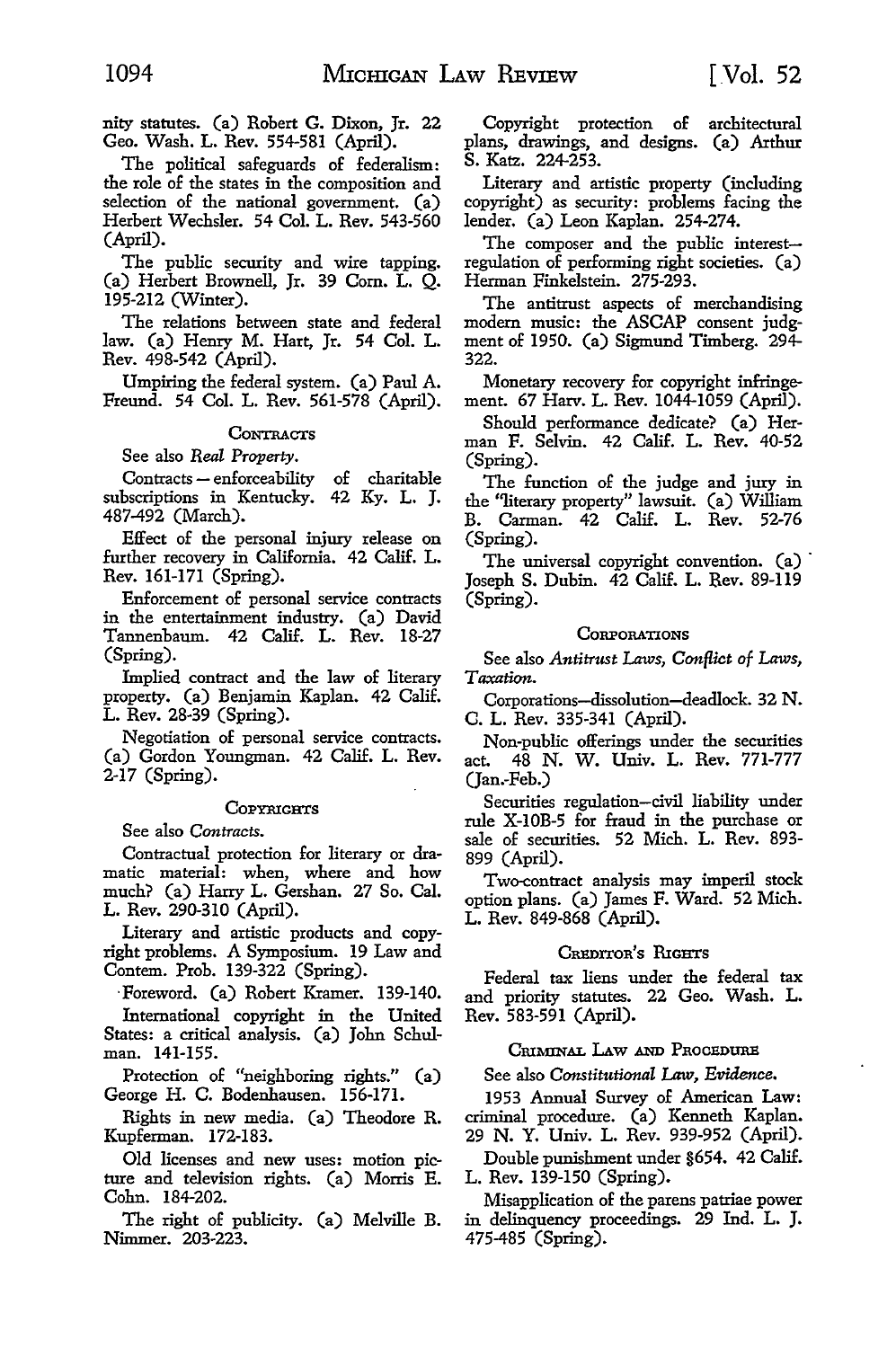nity statutes. (a) Robert **G.** Dixon, Jr. 22 Geo. Wash. L. Rev. 554-581 (April).

The political safeguards of federalism: the role of the states in the composition and selection of the national government. (a) Herbert Wechsler. 54 Col. L. Rev. 543-560 (April).

The public security and wire tapping. (a) Herbert Brownell, Jr. 39 Com. L. Q. 195-212 (Winter).

The relations between state and federal law. (a) Henry M. Hart, Jr. 54 Col. L. Rev. 498-542 (April).

Umpiring the federal system. (a) Paul A. Freund. 54 Col. L. Rev. 561-578 (April).

# **CONTRACTS**

See also *Real Property.* 

Contracts - enforceability of charitable subscriptions in Kentucky. 42 Ky. L. J. 487-492 (March).

Effect of the personal injury release on further recovery in California. 42 Calif. L. Rev. 161-171 (Spring).

Enforcement of personal service contracts in the entertainment industry. (a) David Tannenbaum. 42 Calif. L. Rev. 18-27 (Spring).

Implied contract and the law of literary property. (a) Benjamin Kaplan. 42 Calif. L. Rev. 28-39 (Spring).

Negotiation of personal service contracts. (a) Gordon Youngman. 42 Calif. L. Rev. 2-17 (Spring).

#### **COPYRIGHTS**

See also *Contracts.* 

Contractual protection for literary or dramatic material: when, where and how much? (a) Harry L. Gershan. 27 So. Cal. L. Rev. 290-310 (April).

Literary and artistic products and copyright problems. A Symposium. 19 Law and Contem. Prob. 139-322 (Spring).

·Foreword. (a) Robert Kramer. 139-140.

International copyright in the United States: a critical analysis. (a) John Schulman. 141-155.

Protection of "neighboring rights." (a) George H. C. Bodenhausen. 156-171.

Rights in new media. (a) Theodore R. Kupferman. 172-183.

Old licenses and new uses: motion picture and television rights. (a) Morris E. Cohn. 184-202.

The right of publicity. (a) Melville B. Nimmer. 203-223.

Copyright protection of architectural plans, drawings, and designs. (a) Arthur S. Katz. 224-253.

Literary and artistic property (including copyright) as security: problems facing the lender. (a) Leon Kaplan. 254-274.

The composer and the public interestregulation of performing right societies. (a) Herman Finkelstein. 275-293.

The antitrust aspects of merchandising modern music: the ASCAP consent judgment of 1950. (a) Sigmund Timberg. 294- 322.

Monetary recovery for copyright infringement. 67 Harv. L. Rev. 1044-1059 (April).

Should performance dedicate? (a) Herman F. Selvin. 42 Calif. L. Rev. 40-52 (Spring).

The function of the judge and jury in the "literary property" lawsuit. (a) William B. Carman. 42 Calif. L. Rev. 52-76 (Spring).

The universal copyright convention. (a) Joseph S. Dubin. 42 Calif. L. Rev. 89-119 (Spring).

# **CORPORATIONS**

See also *Antitrust Laws, Conflict of Laws, Taxation.* 

Corporations-dissolution-deadlock. 32 N. C. L. Rev. 335-341 (April).

Non-public offerings under the securities act. 48 N. W. Univ. L. Rev. 771-777 (Jan.-Feb.)

Securities regulation-civil liability under rule X-IOB-5 for fraud in the purchase or sale of securities. 52 Mich. L. Rev. 893- 899 (April).

Two-contract analysis may imperil stock option plans. (a) James F. Ward. 52 Mich. L. Rev. 849-868 (April).

#### CREDITOR'S RIGHTS

Federal tax liens under the federal tax and priority statutes. 22 Geo. Wash. L. Rev. 583-591 (April).

# CRIMINAL LAW AND PROCEDURE

See also *Constitutional Law, Evidence.* 

1953 Annual Survey of American Law: criminal procedure. (a) Kenneth Kaplan. 29 N. Y. Univ. L. Rev. 939-952 (April).

Double punishment under §654. 42 Calif. L. Rev. 139-150 (Spring).

Misapplication of the parens patriae power in delinquency proceedings. 29 Ind. L. J. 475-485 (Spring).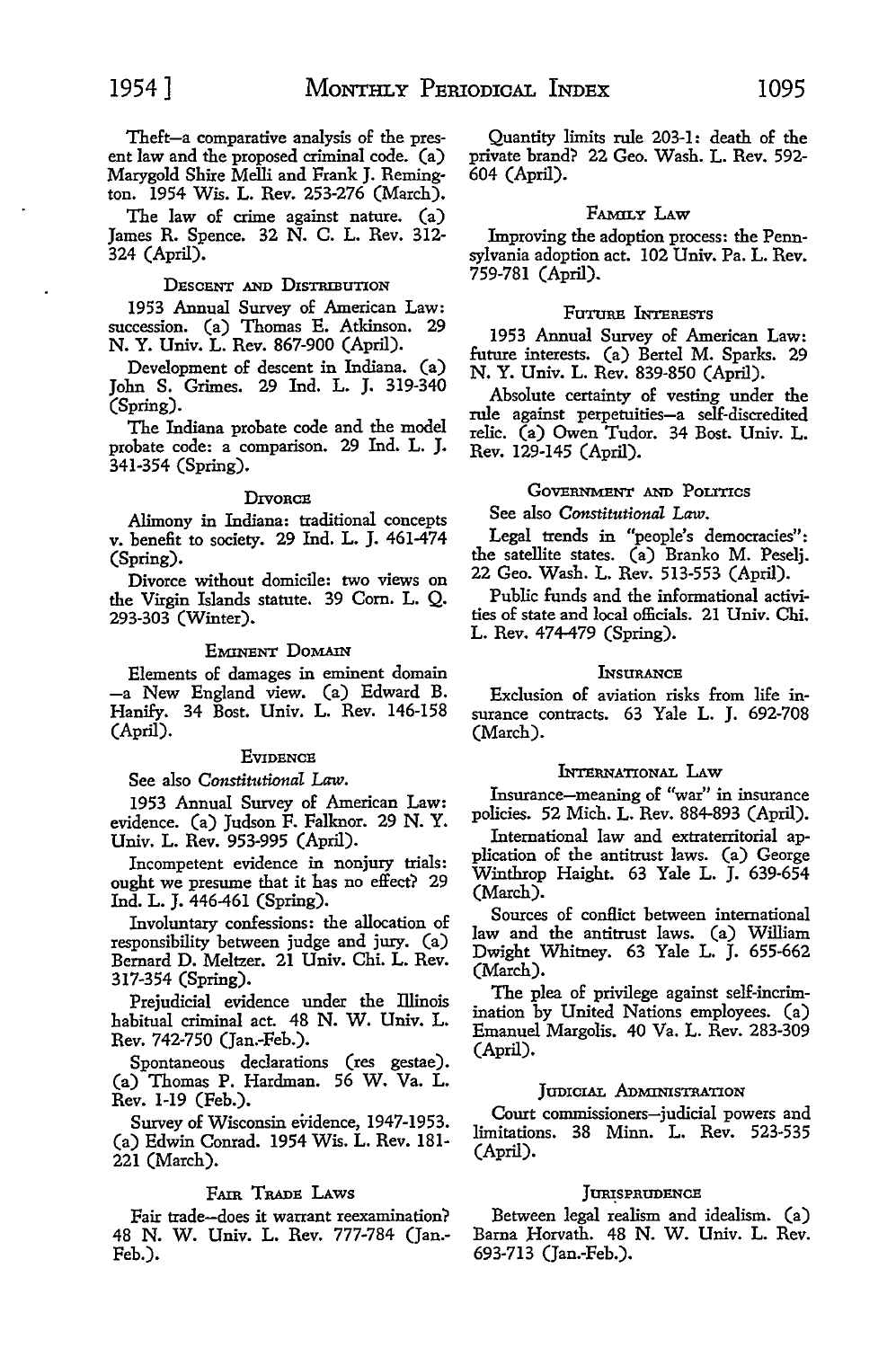Theft-a comparative analysis of the present law and the proposed criminal code. (a) Marygold Shire Melli and Frank J. Remington. 1954 Wis. L. Rev. 253-276 (March).

The law of crime against nature. (a) James R. Spence. 32 N. C. L. Rev. 312- 324 (April).

# DESCENT AND DISTRIBUTION

1953 Annual Survey of American Law: succession. (a) Thomas E. Atkinson. 29 N. Y. Univ. L. Rev. 867-900 (April).

Development of descent in Indiana. (a) John S. Grimes. 29 Ind. L. J. 319-340 (Spring).

The Indiana probate code and the model probate code: a comparison. 29 Ind. L. J. 341-354 (Spring).

#### D**IVORCE**

Alimony in Indiana: traditional concepts v. benefit to society. 29 Ind. L. J. 461-474 (Spring).

Divorce without domicile: two views on the Virgin Islands statute. 39 Com. L. Q. 293-303 (Winter).

# EMINENT DOMAIN

Elements of damages in eminent domain -a New England view. (a) Edward B. Hanify. 34 Bost. Univ. L. Rev. 146-158 (April).

# **EVIDENCE**

See also *Constitutional Law*.

1953 Annual Survey of American Law: evidence. (a) Judson F. Falknor. 29 N. Y. Univ. L. Rev. 953-995 (April).

Incompetent evidence in nonjury trials: ought we presume that it has no effect? 29 Ind. L. J. 446-461 (Spring).

Involuntary confessions: the allocation of responsibility between judge and jury. (a) Bernard D. Meltzer. 21 Univ. Chi. L. Rev. 317-354 (Spring).

Prejudicial evidence under the Illinois habitual criminal act. 48 N. W. Univ. L. Rev. 742-750 (Jan.-Feb.).

Spontaneous declarations (res gestae). (a) Thomas P. Hardman. 56 W. Va. L. Rev. 1-19 (Feb.).

Survey of Wisconsin evidence, 1947-1953. (a) Edwin Comad. 1954 Wis. L. Rev. 181- 221 (March).

# FAIR TRADE LAws

Fair trade-does it warrant reexamination? 48 N. W. Univ. L. Rev. 777-784 (Jan.- Feb.).

Quantity limits rule 203-1: death of the private brand? 22 Geo. Wash. L. Rev. 592- 604 (April).

# FAMILY LAw

Improving the adoption process: the Pennsylvania adoption act. 102 Univ. Pa. L. Rev. 759-781 (April).

# FaTURE INTEREsTs

1953 Annual Survey of American Law: future interests. (a) Bertel M. Sparks. 29 N. Y. Univ. L. Rev. 839-850 (April).

Absolute certainty of vesting under the rule against perpetuities-a self-discredited relic. (a) Owen Tudor. 34 Bost. Univ. L. Rev. 129-145 (April).

# GOVERNMENT AND POLITICS

# See also *Constitutional Law.*

Legal trends in "people's democracies": the satellite states. (a) Branko M. Peselj. 22 Geo. Wash. L. Rev. 513-553 (April).

Public funds and the informational activities of state and local officials. 21 Univ. Chi. L. Rev. 474-479 (Spring).

# **L**NSURANCE

Exclusion of aviation risks from life insurance contracts. 63 Yale L. J. 692-708 (March).

# INTERNATIONAL LAw

Insurance-meaning of "war" in insurance policies. 52 Mich. L. Rev. 884-893 (April).

International law and extraterritorial application of the antitrust laws. (a) George Winthrop Haight. 63 Yale L. J. 639-654 (March).

Sources of conffict between international law and the antitrust laws. (a) William Dwight Whitney. 63 Yale L. J. 655-662 (March).

The plea of privilege against self-incrimination by United Nations employees. (a) Emanuel Margolis. 40 Va. L. Rev. 283-309 (April).

#### JUDICIAL ADMINISTRATION

Court commissioners-judicial powers and limitations. 38 Minn. L. Rev. 523-535 (April).

# JURISPRUDENCE

Between legal realism and idealism. (a) Barna Horvath. 48 N. W. Univ. L. Rev. 693-713 (Jan.-Feb.).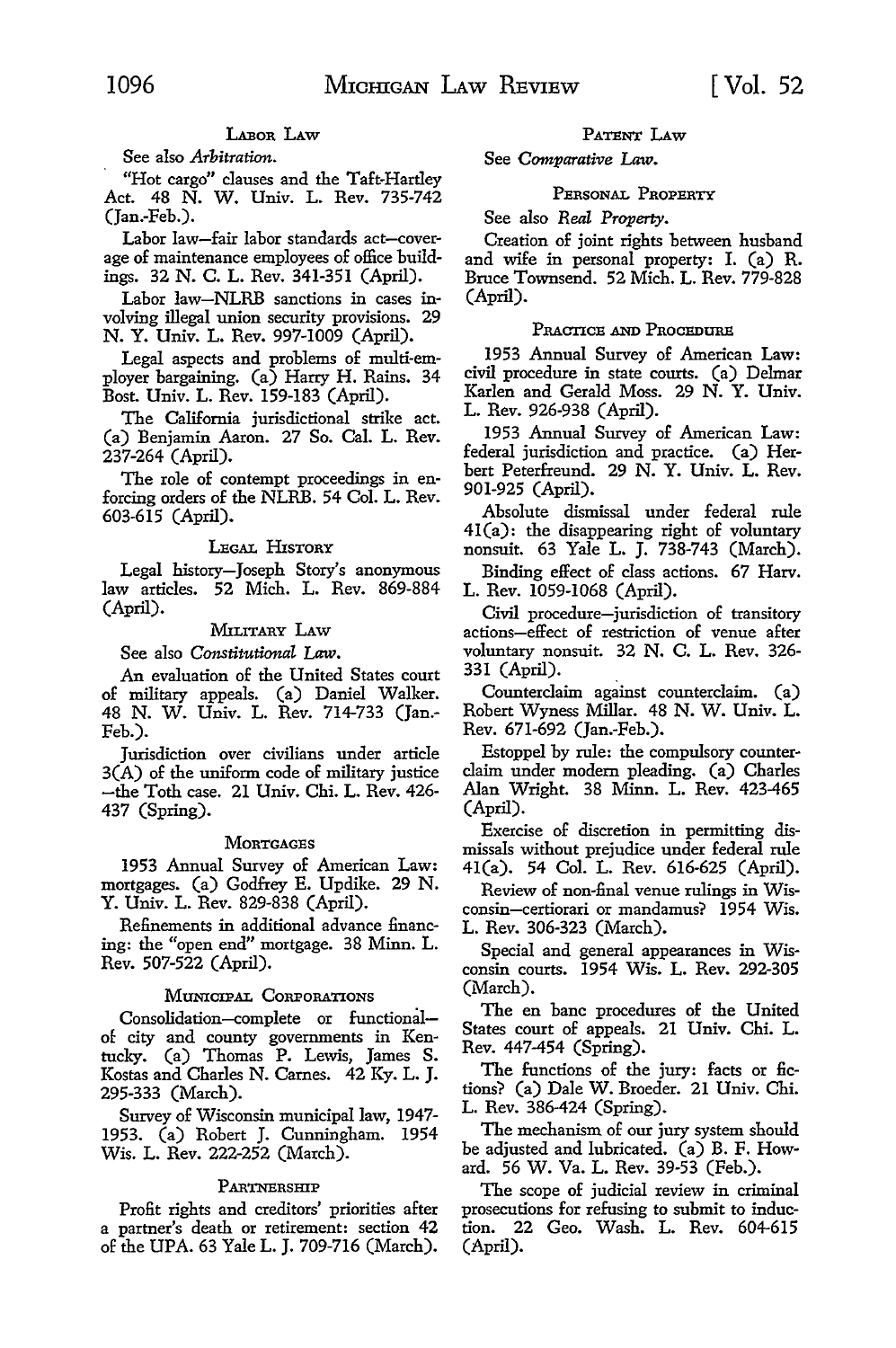# LABOR LAW

*See* also *Arbitration.* 

"Hot cargo" clauses and the Taft-Hartley Act. 48 N. W. Univ. L. Rev. 735-742 (Jan.-Feb.).

Labor law-fair labor standards act-coverage of maintenance employees of office buildings. 32 N. C. L. *Rev.* 341-351 (April).

Labor law-NLRB sanctions in cases involving illegal union security provisions. 29 N. Y. Univ. L. *Rev.* 997-1009 (April).

Legal aspects and problems of multi-employer bargaining. (a) Harry H. Rains. 34 Bost. Univ. L. Rev. 159-183 (April).

The California jurisdictional strike act. (a) Benjamin Aaron. 27 So. Cal. L. Rev. 237-264 (April).

The role of contempt proceedings in enforcing orders of the NLRB. 54 Col. L. Rev. 603-615 (April).

#### LEGAL HISTORY

Legal history-Joseph Story's anonymous law articles. 52 Mich. L. Rev. 869-884 (April).

# MILITARY LAW

See also *Constitutional Law.* 

An evaluation of the United States court of military appeals. (a) Daniel Walker. 48 N. W. Univ. L. Rev. 714-733 (Jan.- Feb.).

Jurisdiction over civilians under article 3(A) of the uniform code of military justice -the Toth case. 21 Univ. Chi. L. Rev. 426- 437 (Spring).

# **MORTGAGES**

1953 Annual Survey of American Law: mortgages. (a) Godfrey E. Updike. 29 N. Y. Univ. L. Rev. 829-838 (April).

Refinements in additional advance financing: the "open end" mortgage. 38 Minn. L. Rev. 507-522 (April).

#### MUNICIPAL CORPORATIONS

Consolidation-complete or functionalof city and county governments in Kentucky. (a) Thomas P. Lewis, James S. Kostas and Charles N. Carnes. 42 Ky. L. J. 295-333 (March).

Survey of Wisconsin municipal law, 1947- 1953. (a) Robert J. Cunningham. 1954 Wis. L. Rev. 222-252 (March).

#### PARTNERSHIP

Profit rights and creditors' priorities after a partner's death or retirement: section 42 of the UPA. 63 Yale L. J. 709-716 (March).

#### PATENT LAw

See *Comparative Law.* 

# PERSONAL PROPERTY

See also *Real Property*.

Creation of joint rights between husband and wife in personal property: I. (a) R. Bruce Townsend. 52 Mich. L. Rev. 779-828 (April).

# PRACTICE AND PROCEDURE

1953 Annual Survey of American Law: civil procedure in state courts. (a) Delmar Karlen and Gerald Moss. 29 N. Y. Univ. L. Rev. 926-938 (April).

1953 Annual Survey of American Law: federal jurisdiction and practice. (a) Herbert Peterfreund. 29 N. Y. Univ. L. Rev. 901-925 (April).

Absolute dismissal under federal rule 41(a): the disappearing right of voluntary nonsuit. 63 Yale L. J. 738-743 (March).

Binding effect of class actions. 67 Harv. L. Rev. 1059-1068 (April).

Civil procedure-jurisdiction of transitory actions-effect of restriction of venue after voluntary nonsuit. 32 N. C. L. Rev. 326- 331 (April).

Counterclaim against counterclaim. (a) Robert Wyness Millar. 48 N. W. Univ. L. Rev. 671-692 (Jan.-Feb.).

Estoppel by rule: the compulsory counterclaim under modem pleading. (a) Charles Alan Wright. 38 Minn. L. Rev. 423-465 (April).

Exercise of discretion in permitting dismissals without prejudice under federal rule 41(a). 54 Col. L. Rev. 616-625 (April).

Review of non-final venue rulings in Wisconsin-certiorari or mandamus? 1954 Wis. L. Rev. 306-323 (March).

Special and general appearances in Wisconsin courts. 1954 Wis. L. Rev. 292-305 (March).

The en bane procedures of the United States court of appeals. 21 Univ. Chi. L. Rev. 447-454 (Spring).

The functions of the jury: facts or fictions? (a) Dale W. Broeder. 21 Univ. Chi. L. Rev. 386-424 (Spring).

The mechanism of our jury system should be adjusted and lubricated. (a) B. F. Howard. 56 W. Va. L. Rev. 39-53 (Feb.).

The scope of judicial review in criminal prosecutions for refusing to submit *to* induction. 22 Geo. Wash. L. Rev. 604-615 (April).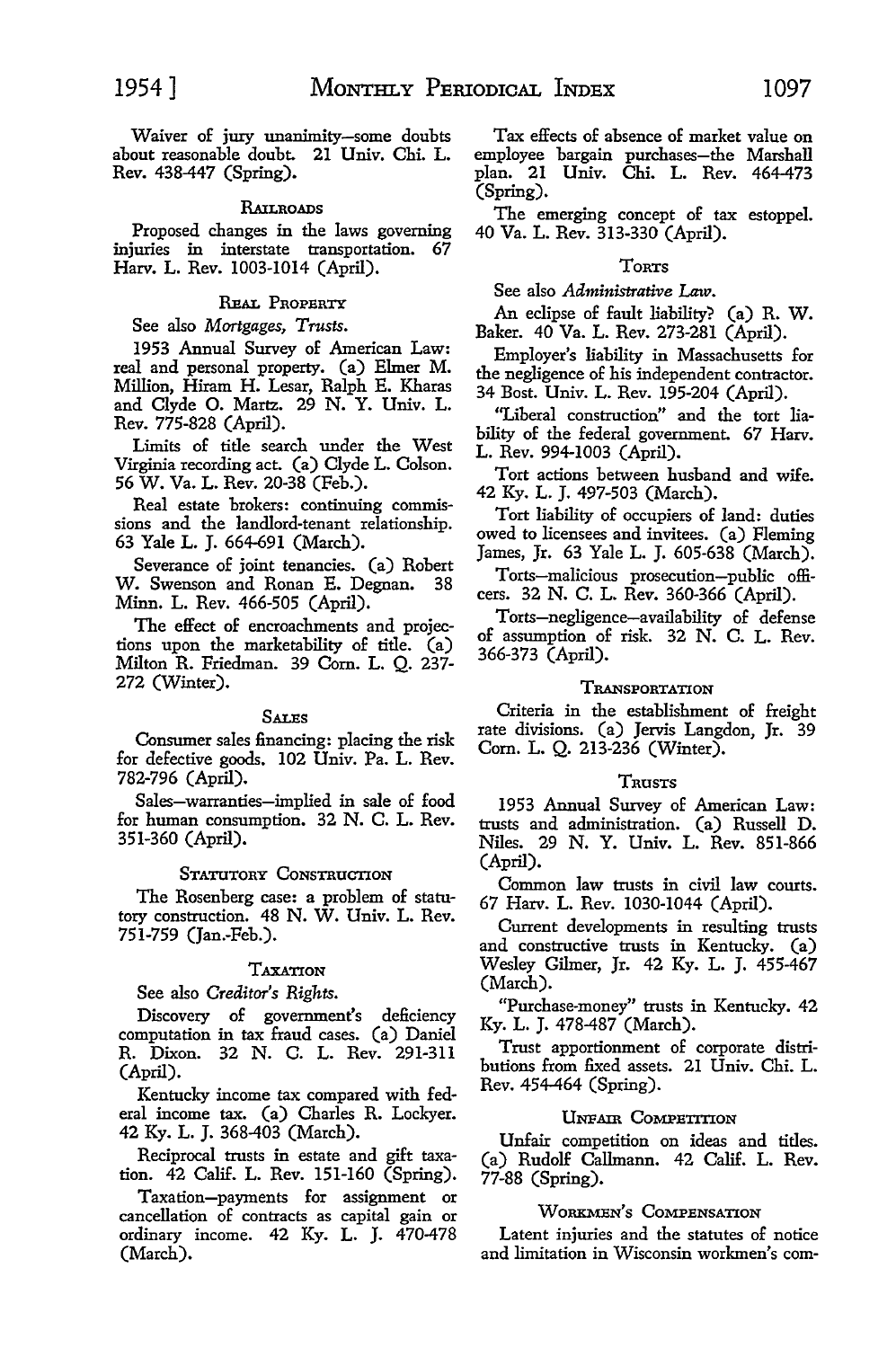Waiver of jury unanimity-some doubts about reasonable doubt. 21 Univ. Chi. L. Rev. 438-447 (Spring).

#### **RAILROADS**

Proposed changes in the laws governing injuries in interstate transportation. 67 Harv. L. Rev. 1003-1014 (April).

# REAL PROPERTY

See also *Mortgages, Trusts.* 

1953 Annual Survey of American Law: real and personal property. (a) Elmer M. Million, Hiram H. Lesar, Ralph E. Kharas and Clyde O. Martz. 29 N. Y. Univ. L. Rev. 775-828 (April).

Limits of title search under the West Virginia recording act. (a) Clyde L. Colson. 56 W. Va. L. Rev. 20-38 (Feb.).

Real estate brokers: continuing commissions and the landlord-tenant relationship. 63 Yale L. J. 664-691 (March).

Severance of joint tenancies. (a) Robert W. Swenson and Ronan E. Degnan. 38 Minn. L. Rev. 466-505 (April).

The effect of encroachments and projections upon the marketability of title. (a) Milton R. Friedman. 39 Com. L. Q. 237- 272 (Winter).

#### **SALES**

Consumer sales financing: placing the risk for defective goods. 102 Univ. Pa. L. Rev. 782-796 (April).

Sales-warranties-implied in sale of food for human consumption. 32 N. C. L. Rev. 351-360 (April).

# STATUTORY CONSTRUCTION

The Rosenberg case: a problem of statutory construction. 48 N. W. Univ. L. Rev. 751-759 (Jan.-Feb.).

# TAXATION

See also *Creditor's Rights.* 

Discovery of government's deficiency computation in tax fraud cases. (a) Daniel R. Dixon. 32 N. C. L. Rev. 291-311 (April).

Kentucky income tax compared with federal income tax. (a) Charles R. Lockyer. 42 Ky. L. J. 368-403 (March).

Reciprocal trusts in estate and gift taxation. 42 Calif. L. Rev. 151-160 (Spring).

Taxation-payments for assignment or cancellation of contracts as capital gain or ordinary income. 42 Ky. L. J. 470-478 (March).

Tax effects of absence of market value on employee bargain purchases-the Marshall plan. 21 Univ. Chi. L. Rev. 464-473 (Spring).

The emerging concept of tax estoppel. 40 Va. L. Rev. 313-330 (April).

# TORTS

See also *Administrative Law.* 

An eclipse of fault liability? (a) R. W. Baker. 40 Va. L. Rev. 273-281 (April).

Employer's liability in Massachusetts for the negligence of his independent contractor. 34 Bost. Univ. L. Rev. 195-204 (April).

"Liberal construction" and the tort liability of the federal government. 67 Harv. L. Rev. 994-1003 (April).

Tort actions between husband and wife. 42 Ky. L. J. 497-503 (March).

Tort liability of occupiers of land: duties owed to licensees and invitees. (a) Fleming James, Jr. 63 Yale L. J. 605-638 (March).

Torts-malicious prosecution-public officers. 32 N. C. L. Rev. 360-366 (April).

Torts-negligence-availability of defense of assumption of risk. 32 N. C. L. Rev. 366-373 (April).

# TRANSPORTATION

Criteria in the establishment of freight rate divisions. (a) Jervis Langdon, Jr. 39 Com. L. Q. 213-236 (Winter).

# TRUSTS

1953 Annual Survey of American Law: trusts and administration. (a) Russell D. Niles. 29 N. Y. Univ. L. Rev. 851-866 (April).

Common law trusts in civil law courts. 67 Harv. L. Rev. 1030-1044 (April).

Current developments in resulting trusts and constructive trusts in Kentucky. (a) Wesley Gilmer, Jr. 42 Ky. L. J. 455-467 (March).

"Purchase-money" trusts in Kentucky. 42 Ky. L. J. 478-487 (March).

Trust apportionment of corporate distributions from fixed assets. 21 Univ. Chi. L. Rev. 454-464 (Spring).

#### UNFAIR COMPETITION

Unfair competition on ideas and titles. (a) Rudolf Callmann. 42 Calif. L. Rev. 77-88 (Spring).

#### WORKMEN'S COMPENSATION

Latent injuries and the statutes of notice and limitation in Wisconsin workmen's com